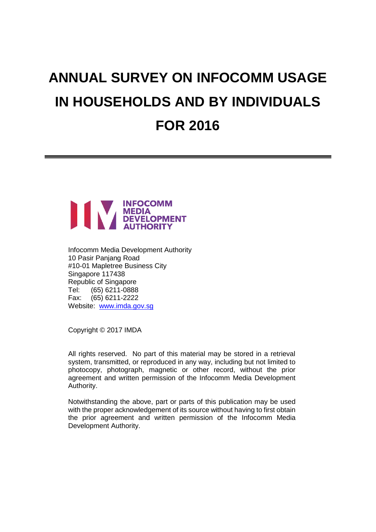# **ANNUAL SURVEY ON INFOCOMM USAGE IN HOUSEHOLDS AND BY INDIVIDUALS FOR 2016**



Infocomm Media Development Authority 10 Pasir Panjang Road #10-01 Mapletree Business City Singapore 117438 Republic of Singapore Tel: (65) 6211-0888 Fax: (65) 6211-2222 Website: [www.imda.gov.sg](http://www.imda.gov.sg/)

Copyright © 2017 IMDA

All rights reserved. No part of this material may be stored in a retrieval system, transmitted, or reproduced in any way, including but not limited to photocopy, photograph, magnetic or other record, without the prior agreement and written permission of the Infocomm Media Development Authority.

Notwithstanding the above, part or parts of this publication may be used with the proper acknowledgement of its source without having to first obtain the prior agreement and written permission of the Infocomm Media Development Authority.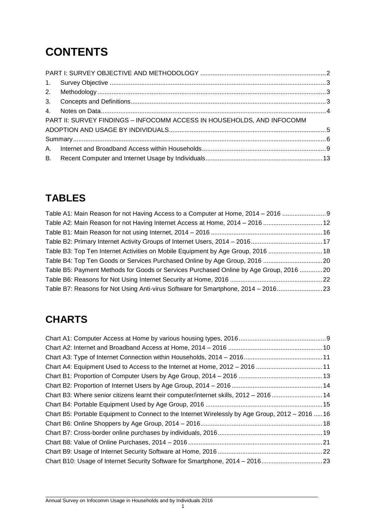# **CONTENTS**

| PART II: SURVEY FINDINGS - INFOCOMM ACCESS IN HOUSEHOLDS, AND INFOCOMM |  |
|------------------------------------------------------------------------|--|
|                                                                        |  |
|                                                                        |  |
|                                                                        |  |
|                                                                        |  |

# **TABLES**

| Table A1: Main Reason for not Having Access to a Computer at Home, 2014 - 2016  9      |  |
|----------------------------------------------------------------------------------------|--|
| Table A2: Main Reason for not Having Internet Access at Home, 2014 - 2016  12          |  |
|                                                                                        |  |
|                                                                                        |  |
| Table B3: Top Ten Internet Activities on Mobile Equipment by Age Group, 2016  18       |  |
| Table B4: Top Ten Goods or Services Purchased Online by Age Group, 2016 20             |  |
| Table B5: Payment Methods for Goods or Services Purchased Online by Age Group, 2016 20 |  |
|                                                                                        |  |
| Table B7: Reasons for Not Using Anti-virus Software for Smartphone, 2014 - 201623      |  |

# **CHARTS**

| 11. Chart A4: Equipment Used to Access to the Internet at Home, 2012 – 2016 11                   |  |
|--------------------------------------------------------------------------------------------------|--|
|                                                                                                  |  |
|                                                                                                  |  |
| Chart B3: Where senior citizens learnt their computer/internet skills, 2012 – 201614             |  |
|                                                                                                  |  |
| Chart B5: Portable Equipment to Connect to the Internet Wirelessly by Age Group, 2012 - 2016  16 |  |
|                                                                                                  |  |
|                                                                                                  |  |
|                                                                                                  |  |
|                                                                                                  |  |
| Chart B10: Usage of Internet Security Software for Smartphone, 2014 - 201623                     |  |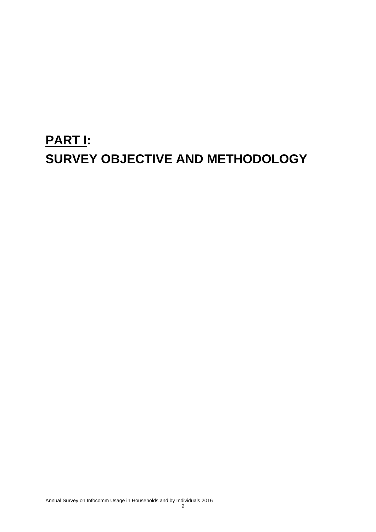# <span id="page-2-0"></span>**PART I: SURVEY OBJECTIVE AND METHODOLOGY**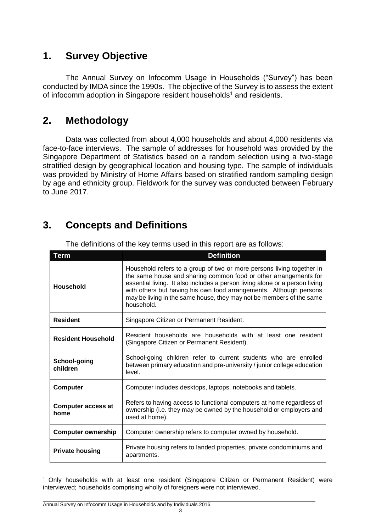# <span id="page-3-0"></span>**1. Survey Objective**

The Annual Survey on Infocomm Usage in Households ("Survey") has been conducted by IMDA since the 1990s. The objective of the Survey is to assess the extent of infocomm adoption in Singapore resident households<sup>1</sup> and residents.

# <span id="page-3-1"></span>**2. Methodology**

Data was collected from about 4,000 households and about 4,000 residents via face-to-face interviews. The sample of addresses for household was provided by the Singapore Department of Statistics based on a random selection using a two-stage stratified design by geographical location and housing type. The sample of individuals was provided by Ministry of Home Affairs based on stratified random sampling design by age and ethnicity group. Fieldwork for the survey was conducted between February to June 2017.

# **3. Concepts and Definitions**

| <b>Term</b>                       | <b>Definition</b>                                                                                                                                                                                                                                                                                                                                                                    |
|-----------------------------------|--------------------------------------------------------------------------------------------------------------------------------------------------------------------------------------------------------------------------------------------------------------------------------------------------------------------------------------------------------------------------------------|
| Household                         | Household refers to a group of two or more persons living together in<br>the same house and sharing common food or other arrangements for<br>essential living. It also includes a person living alone or a person living<br>with others but having his own food arrangements. Although persons<br>may be living in the same house, they may not be members of the same<br>household. |
| <b>Resident</b>                   | Singapore Citizen or Permanent Resident.                                                                                                                                                                                                                                                                                                                                             |
| <b>Resident Household</b>         | Resident households are households with at least one resident<br>(Singapore Citizen or Permanent Resident).                                                                                                                                                                                                                                                                          |
| School-going<br>children          | School-going children refer to current students who are enrolled<br>between primary education and pre-university / junior college education<br>level.                                                                                                                                                                                                                                |
| <b>Computer</b>                   | Computer includes desktops, laptops, notebooks and tablets.                                                                                                                                                                                                                                                                                                                          |
| <b>Computer access at</b><br>home | Refers to having access to functional computers at home regardless of<br>ownership (i.e. they may be owned by the household or employers and<br>used at home).                                                                                                                                                                                                                       |
| <b>Computer ownership</b>         | Computer ownership refers to computer owned by household.                                                                                                                                                                                                                                                                                                                            |
| <b>Private housing</b>            | Private housing refers to landed properties, private condominiums and<br>apartments.                                                                                                                                                                                                                                                                                                 |

<span id="page-3-2"></span>The definitions of the key terms used in this report are as follows:

<sup>&</sup>lt;sup>1</sup> Only households with at least one resident (Singapore Citizen or Permanent Resident) were interviewed; households comprising wholly of foreigners were not interviewed.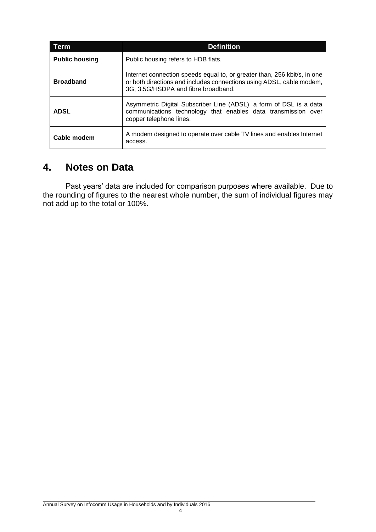| Term.                 | <b>Definition</b>                                                                                                                                                                       |
|-----------------------|-----------------------------------------------------------------------------------------------------------------------------------------------------------------------------------------|
| <b>Public housing</b> | Public housing refers to HDB flats.                                                                                                                                                     |
| <b>Broadband</b>      | Internet connection speeds equal to, or greater than, 256 kbit/s, in one<br>or both directions and includes connections using ADSL, cable modem,<br>3G, 3.5G/HSDPA and fibre broadband. |
| <b>ADSL</b>           | Asymmetric Digital Subscriber Line (ADSL), a form of DSL is a data<br>communications technology that enables data transmission over<br>copper telephone lines.                          |
| Cable modem           | A modem designed to operate over cable TV lines and enables Internet<br>access.                                                                                                         |

# <span id="page-4-0"></span>**4. Notes on Data**

Past years' data are included for comparison purposes where available. Due to the rounding of figures to the nearest whole number, the sum of individual figures may not add up to the total or 100%.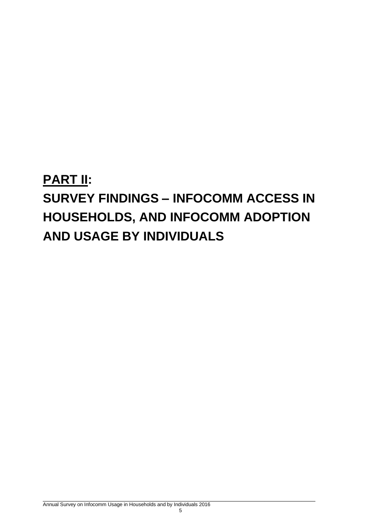# <span id="page-5-0"></span>**PART II: SURVEY FINDINGS – INFOCOMM ACCESS IN HOUSEHOLDS, AND INFOCOMM ADOPTION AND USAGE BY INDIVIDUALS**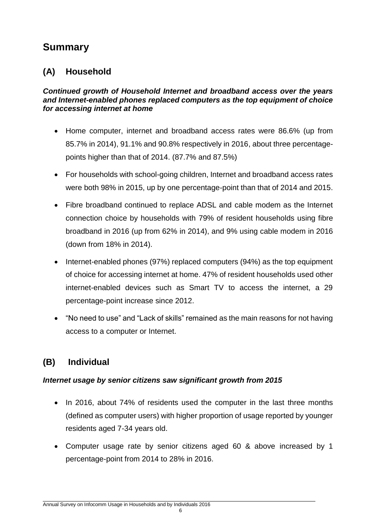# <span id="page-6-0"></span>**Summary**

# **(A) Household**

#### *Continued growth of Household Internet and broadband access over the years and Internet-enabled phones replaced computers as the top equipment of choice for accessing internet at home*

- Home computer, internet and broadband access rates were 86.6% (up from 85.7% in 2014), 91.1% and 90.8% respectively in 2016, about three percentagepoints higher than that of 2014. (87.7% and 87.5%)
- For households with school-going children, Internet and broadband access rates were both 98% in 2015, up by one percentage-point than that of 2014 and 2015.
- Fibre broadband continued to replace ADSL and cable modem as the Internet connection choice by households with 79% of resident households using fibre broadband in 2016 (up from 62% in 2014), and 9% using cable modem in 2016 (down from 18% in 2014).
- Internet-enabled phones (97%) replaced computers (94%) as the top equipment of choice for accessing internet at home. 47% of resident households used other internet-enabled devices such as Smart TV to access the internet, a 29 percentage-point increase since 2012.
- "No need to use" and "Lack of skills" remained as the main reasons for not having access to a computer or Internet.

# **(B) Individual**

# *Internet usage by senior citizens saw significant growth from 2015*

- In 2016, about 74% of residents used the computer in the last three months (defined as computer users) with higher proportion of usage reported by younger residents aged 7-34 years old.
- Computer usage rate by senior citizens aged 60 & above increased by 1 percentage-point from 2014 to 28% in 2016.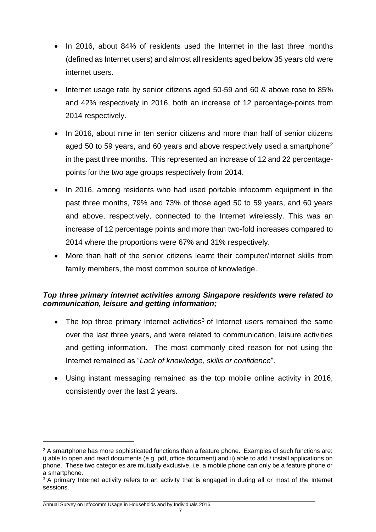- In 2016, about 84% of residents used the Internet in the last three months (defined as Internet users) and almost all residents aged below 35 years old were internet users.
- Internet usage rate by senior citizens aged 50-59 and 60 & above rose to 85% and 42% respectively in 2016, both an increase of 12 percentage-points from 2014 respectively.
- In 2016, about nine in ten senior citizens and more than half of senior citizens aged 50 to 59 years, and 60 years and above respectively used a smartphone<sup>2</sup> in the past three months. This represented an increase of 12 and 22 percentagepoints for the two age groups respectively from 2014.
- In 2016, among residents who had used portable infocomm equipment in the past three months, 79% and 73% of those aged 50 to 59 years, and 60 years and above, respectively, connected to the Internet wirelessly. This was an increase of 12 percentage points and more than two-fold increases compared to 2014 where the proportions were 67% and 31% respectively.
- More than half of the senior citizens learnt their computer/Internet skills from family members, the most common source of knowledge.

## *Top three primary internet activities among Singapore residents were related to communication, leisure and getting information;*

- The top three primary Internet activities<sup>3</sup> of Internet users remained the same over the last three years, and were related to communication, leisure activities and getting information. The most commonly cited reason for not using the Internet remained as "*Lack of knowledge, skills or confidence*".
- Using instant messaging remained as the top mobile online activity in 2016, consistently over the last 2 years.

<sup>&</sup>lt;sup>2</sup> A smartphone has more sophisticated functions than a feature phone. Examples of such functions are: i) able to open and read documents (e.g. pdf, office document) and ii) able to add / install applications on phone. These two categories are mutually exclusive, i.e. a mobile phone can only be a feature phone or a smartphone.

<sup>&</sup>lt;sup>3</sup> A primary Internet activity refers to an activity that is engaged in during all or most of the Internet sessions.

 $\_$  ,  $\_$  ,  $\_$  ,  $\_$  ,  $\_$  ,  $\_$  ,  $\_$  ,  $\_$  ,  $\_$  ,  $\_$  ,  $\_$  ,  $\_$  ,  $\_$  ,  $\_$  ,  $\_$  ,  $\_$  ,  $\_$  ,  $\_$  ,  $\_$  ,  $\_$  ,  $\_$  ,  $\_$  ,  $\_$  ,  $\_$  ,  $\_$  ,  $\_$  ,  $\_$  ,  $\_$  ,  $\_$  ,  $\_$  ,  $\_$  ,  $\_$  ,  $\_$  ,  $\_$  ,  $\_$  ,  $\_$  ,  $\_$  , Annual Survey on Infocomm Usage in Households and by Individuals 2016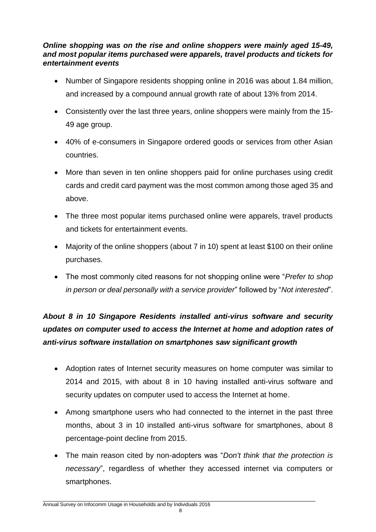### *Online shopping was on the rise and online shoppers were mainly aged 15-49, and most popular items purchased were apparels, travel products and tickets for entertainment events*

- Number of Singapore residents shopping online in 2016 was about 1.84 million, and increased by a compound annual growth rate of about 13% from 2014.
- Consistently over the last three years, online shoppers were mainly from the 15- 49 age group.
- 40% of e-consumers in Singapore ordered goods or services from other Asian countries.
- More than seven in ten online shoppers paid for online purchases using credit cards and credit card payment was the most common among those aged 35 and above.
- The three most popular items purchased online were apparels, travel products and tickets for entertainment events.
- Majority of the online shoppers (about 7 in 10) spent at least \$100 on their online purchases.
- The most commonly cited reasons for not shopping online were "*Prefer to shop in person or deal personally with a service provider*" followed by "*Not interested*".

# *About 8 in 10 Singapore Residents installed anti-virus software and security updates on computer used to access the Internet at home and adoption rates of anti-virus software installation on smartphones saw significant growth*

- Adoption rates of Internet security measures on home computer was similar to 2014 and 2015, with about 8 in 10 having installed anti-virus software and security updates on computer used to access the Internet at home.
- Among smartphone users who had connected to the internet in the past three months, about 3 in 10 installed anti-virus software for smartphones, about 8 percentage-point decline from 2015.
- The main reason cited by non-adopters was "*Don't think that the protection is necessary*", regardless of whether they accessed internet via computers or smartphones.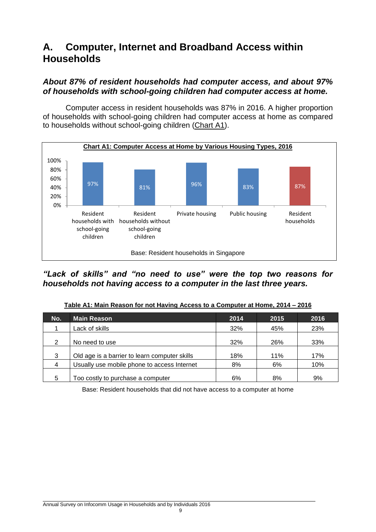# <span id="page-9-0"></span>**A. Computer, Internet and Broadband Access within Households**

### *About 87% of resident households had computer access, and about 97% of households with school-going children had computer access at home.*

<span id="page-9-2"></span>Computer access in resident households was 87% in 2016. A higher proportion of households with school-going children had computer access at home as compared to households without school-going children (Chart A1).



*"Lack of skills" and "no need to use" were the top two reasons for households not having access to a computer in the last three years.*

| No. | <b>Main Reason</b>                            | 2014 | 2015 | 2016 |
|-----|-----------------------------------------------|------|------|------|
|     | Lack of skills                                | 32%  | 45%  | 23%  |
| 2   | No need to use                                | 32%  | 26%  | 33%  |
| 3   | Old age is a barrier to learn computer skills | 18%  | 11%  | 17%  |
| 4   | Usually use mobile phone to access Internet   | 8%   | 6%   | 10%  |
| 5   | Too costly to purchase a computer             | 6%   | 8%   | 9%   |

#### **Table A1: Main Reason for not Having Access to a Computer at Home, 2014 – 2016**

<span id="page-9-1"></span>Base: Resident households that did not have access to a computer at home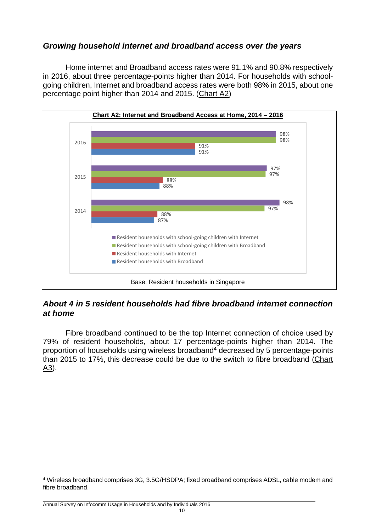# *Growing household internet and broadband access over the years*

<span id="page-10-0"></span>Home internet and Broadband access rates were 91.1% and 90.8% respectively in 2016, about three percentage-points higher than 2014. For households with schoolgoing children, Internet and broadband access rates were both 98% in 2015, about one percentage point higher than 2014 and 2015. (Chart A2)



## *About 4 in 5 resident households had fibre broadband internet connection at home*

Fibre broadband continued to be the top Internet connection of choice used by 79% of resident households, about 17 percentage-points higher than 2014. The proportion of households using wireless broadband<sup>4</sup> decreased by 5 percentage-points than 2015 to 17%, this decrease could be due to the switch to fibre broadband (Chart A3).

<sup>4</sup> Wireless broadband comprises 3G, 3.5G/HSDPA; fixed broadband comprises ADSL, cable modem and fibre broadband.

 $\_$  ,  $\_$  ,  $\_$  ,  $\_$  ,  $\_$  ,  $\_$  ,  $\_$  ,  $\_$  ,  $\_$  ,  $\_$  ,  $\_$  ,  $\_$  ,  $\_$  ,  $\_$  ,  $\_$  ,  $\_$  ,  $\_$  ,  $\_$  ,  $\_$  ,  $\_$  ,  $\_$  ,  $\_$  ,  $\_$  ,  $\_$  ,  $\_$  ,  $\_$  ,  $\_$  ,  $\_$  ,  $\_$  ,  $\_$  ,  $\_$  ,  $\_$  ,  $\_$  ,  $\_$  ,  $\_$  ,  $\_$  ,  $\_$  , Annual Survey on Infocomm Usage in Households and by Individuals 2016  $10$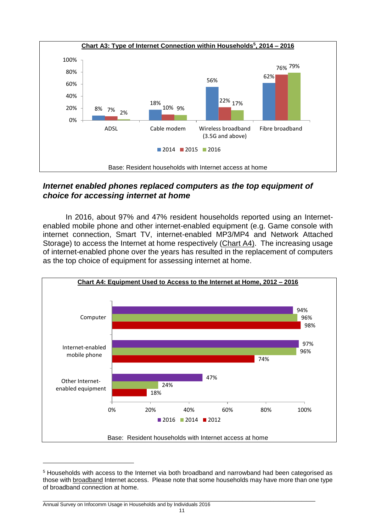<span id="page-11-0"></span>

## *Internet enabled phones replaced computers as the top equipment of choice for accessing internet at home*

<span id="page-11-1"></span>In 2016, about 97% and 47% resident households reported using an Internetenabled mobile phone and other internet-enabled equipment (e.g. Game console with internet connection, Smart TV, internet-enabled MP3/MP4 and Network Attached Storage) to access the Internet at home respectively (Chart A4). The increasing usage of internet-enabled phone over the years has resulted in the replacement of computers as the top choice of equipment for assessing internet at home.



<sup>5</sup> Households with access to the Internet via both broadband and narrowband had been categorised as those with broadband Internet access. Please note that some households may have more than one type of broadband connection at home.

 $\_$  ,  $\_$  ,  $\_$  ,  $\_$  ,  $\_$  ,  $\_$  ,  $\_$  ,  $\_$  ,  $\_$  ,  $\_$  ,  $\_$  ,  $\_$  ,  $\_$  ,  $\_$  ,  $\_$  ,  $\_$  ,  $\_$  ,  $\_$  ,  $\_$  ,  $\_$  ,  $\_$  ,  $\_$  ,  $\_$  ,  $\_$  ,  $\_$  ,  $\_$  ,  $\_$  ,  $\_$  ,  $\_$  ,  $\_$  ,  $\_$  ,  $\_$  ,  $\_$  ,  $\_$  ,  $\_$  ,  $\_$  ,  $\_$  , Annual Survey on Infocomm Usage in Households and by Individuals 2016  $11$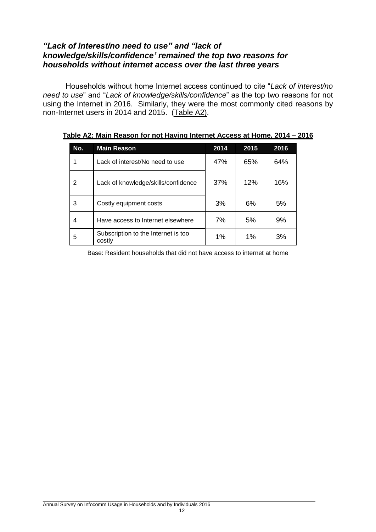## *"Lack of interest/no need to use" and "lack of knowledge/skills/confidence' remained the top two reasons for households without internet access over the last three years*

Households without home Internet access continued to cite "*Lack of interest/no need to use*" and "*Lack of knowledge/skills/confidence*" as the top two reasons for not using the Internet in 2016. Similarly, they were the most commonly cited reasons by non-Internet users in 2014 and 2015. (Table A2).

<span id="page-12-0"></span>

| No. | <b>Main Reason</b>                            | 2014 | 2015 | 2016 |
|-----|-----------------------------------------------|------|------|------|
|     | Lack of interest/No need to use               | 47%  | 65%  | 64%  |
| 2   | Lack of knowledge/skills/confidence           | 37%  | 12%  | 16%  |
| 3   | Costly equipment costs                        | 3%   | 6%   | 5%   |
| 4   | Have access to Internet elsewhere             | 7%   | 5%   | 9%   |
| 5   | Subscription to the Internet is too<br>costly | 1%   | 1%   | 3%   |

#### **Table A2: Main Reason for not Having Internet Access at Home, 2014 – 2016**

Base: Resident households that did not have access to internet at home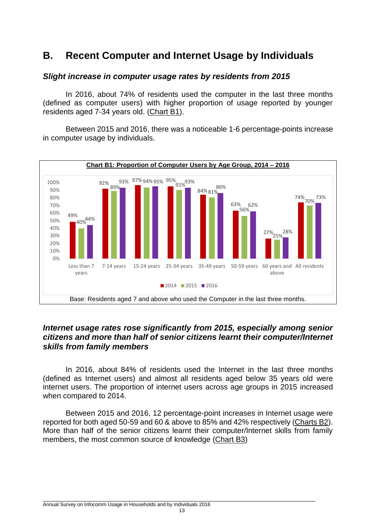# **B. Recent Computer and Internet Usage by Individuals**

#### <span id="page-13-0"></span>*Slight increase in computer usage rates by residents from 2015*

In 2016, about 74% of residents used the computer in the last three months (defined as computer users) with higher proportion of usage reported by younger residents aged 7-34 years old. (Chart B1).

<span id="page-13-1"></span>Between 2015 and 2016, there was a noticeable 1-6 percentage-points increase in computer usage by individuals.



### *Internet usage rates rose significantly from 2015, especially among senior citizens and more than half of senior citizens learnt their computer/Internet skills from family members*

In 2016, about 84% of residents used the Internet in the last three months (defined as Internet users) and almost all residents aged below 35 years old were internet users. The proportion of internet users across age groups in 2015 increased when compared to 2014.

Between 2015 and 2016, 12 percentage-point increases in Internet usage were reported for both aged 50-59 and 60 & above to 85% and 42% respectively (Charts B2). More than half of the senior citizens learnt their computer/Internet skills from family members, the most common source of knowledge (Chart B3)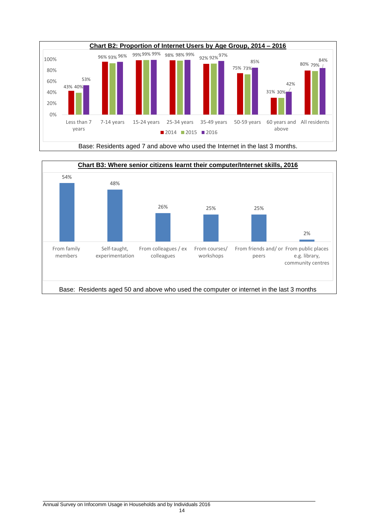



<span id="page-14-1"></span><span id="page-14-0"></span>Base: Residents aged 7 and above who used the Internet in the last 3 months.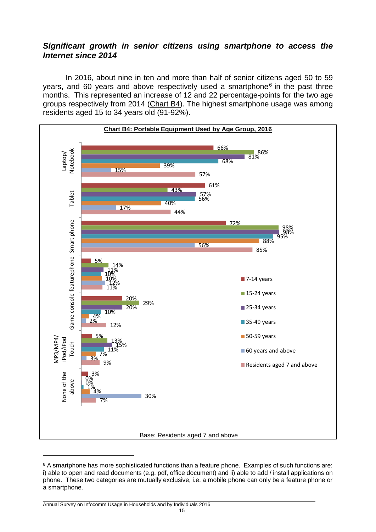### *Significant growth in senior citizens using smartphone to access the Internet since 2014*

<span id="page-15-0"></span>In 2016, about nine in ten and more than half of senior citizens aged 50 to 59 years, and 60 years and above respectively used a smartphone<sup>6</sup> in the past three months. This represented an increase of 12 and 22 percentage-points for the two age groups respectively from 2014 (Chart B4). The highest smartphone usage was among residents aged 15 to 34 years old (91-92%).



<sup>6</sup> A smartphone has more sophisticated functions than a feature phone. Examples of such functions are: i) able to open and read documents (e.g. pdf, office document) and ii) able to add / install applications on phone. These two categories are mutually exclusive, i.e. a mobile phone can only be a feature phone or a smartphone.

 $\_$  ,  $\_$  ,  $\_$  ,  $\_$  ,  $\_$  ,  $\_$  ,  $\_$  ,  $\_$  ,  $\_$  ,  $\_$  ,  $\_$  ,  $\_$  ,  $\_$  ,  $\_$  ,  $\_$  ,  $\_$  ,  $\_$  ,  $\_$  ,  $\_$  ,  $\_$  ,  $\_$  ,  $\_$  ,  $\_$  ,  $\_$  ,  $\_$  ,  $\_$  ,  $\_$  ,  $\_$  ,  $\_$  ,  $\_$  ,  $\_$  ,  $\_$  ,  $\_$  ,  $\_$  ,  $\_$  ,  $\_$  ,  $\_$  , Annual Survey on Infocomm Usage in Households and by Individuals 2016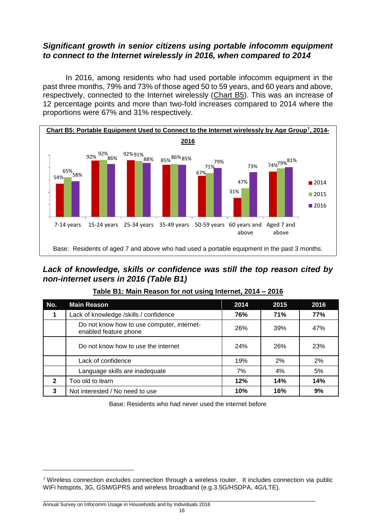## *Significant growth in senior citizens using portable infocomm equipment to connect to the Internet wirelessly in 2016, when compared to 2014*

In 2016, among residents who had used portable infocomm equipment in the past three months, 79% and 73% of those aged 50 to 59 years, and 60 years and above, respectively, connected to the Internet wirelessly (Chart B5). This was an increase of 12 percentage points and more than two-fold increases compared to 2014 where the proportions were 67% and 31% respectively.

<span id="page-16-1"></span>

## *Lack of knowledge, skills or confidence was still the top reason cited by non-internet users in 2016 (Table B1)*

| No.            | <b>Main Reason</b>                                                  | 2014 | 2015       | 2016 |
|----------------|---------------------------------------------------------------------|------|------------|------|
| 1              | Lack of knowledge /skills / confidence                              | 76%  | <b>71%</b> | 77%  |
|                | Do not know how to use computer, internet-<br>enabled feature phone | 26%  | 39%        | 47%  |
|                | Do not know how to use the internet                                 | 24%  | 26%        | 23%  |
|                | Lack of confidence                                                  | 19%  | 2%         | 2%   |
|                | Language skills are inadequate                                      | 7%   | 4%         | 5%   |
| $\overline{2}$ | Too old to learn                                                    | 12%  | 14%        | 14%  |
| 3              | Not interested / No need to use                                     | 10%  | 16%        | 9%   |

<span id="page-16-0"></span>**Table B1: Main Reason for not using Internet, 2014 – 2016**

Base: Residents who had never used the internet before

<sup>7</sup> Wireless connection excludes connection through a wireless router. It includes connection via public WiFi hotspots, 3G, GSM/GPRS and wireless broadband (e.g.3.5G/HSDPA, 4G/LTE).

 $\_$  ,  $\_$  ,  $\_$  ,  $\_$  ,  $\_$  ,  $\_$  ,  $\_$  ,  $\_$  ,  $\_$  ,  $\_$  ,  $\_$  ,  $\_$  ,  $\_$  ,  $\_$  ,  $\_$  ,  $\_$  ,  $\_$  ,  $\_$  ,  $\_$  ,  $\_$  ,  $\_$  ,  $\_$  ,  $\_$  ,  $\_$  ,  $\_$  ,  $\_$  ,  $\_$  ,  $\_$  ,  $\_$  ,  $\_$  ,  $\_$  ,  $\_$  ,  $\_$  ,  $\_$  ,  $\_$  ,  $\_$  ,  $\_$  , Annual Survey on Infocomm Usage in Households and by Individuals 2016  $16$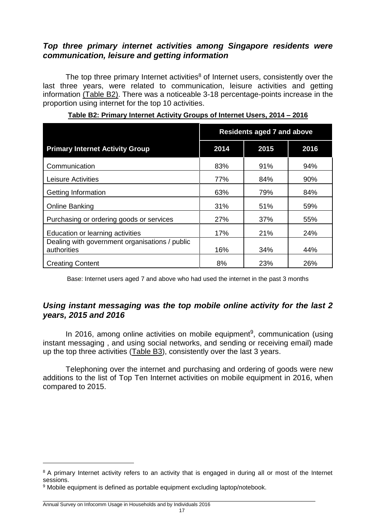### *Top three primary internet activities among Singapore residents were communication, leisure and getting information*

The top three primary Internet activities $8$  of Internet users, consistently over the last three years, were related to communication, leisure activities and getting information (Table B2). There was a noticeable 3-18 percentage-points increase in the proportion using internet for the top 10 activities.

|                                                               | <b>Residents aged 7 and above</b> |      |      |  |  |  |
|---------------------------------------------------------------|-----------------------------------|------|------|--|--|--|
| <b>Primary Internet Activity Group</b>                        | 2014                              | 2015 | 2016 |  |  |  |
| Communication                                                 | 83%                               | 91%  | 94%  |  |  |  |
| <b>Leisure Activities</b>                                     | 77%                               | 84%  | 90%  |  |  |  |
| Getting Information                                           | 63%                               | 79%  | 84%  |  |  |  |
| <b>Online Banking</b>                                         | 31%                               | 51%  | 59%  |  |  |  |
| Purchasing or ordering goods or services                      | 27%                               | 37%  | 55%  |  |  |  |
| Education or learning activities                              | 17%                               | 21%  | 24%  |  |  |  |
| Dealing with government organisations / public<br>authorities | 16%                               | 34%  | 44%  |  |  |  |
| <b>Creating Content</b>                                       | 8%                                | 23%  | 26%  |  |  |  |

#### <span id="page-17-0"></span>**Table B2: Primary Internet Activity Groups of Internet Users, 2014 – 2016**

Base: Internet users aged 7 and above who had used the internet in the past 3 months

## *Using instant messaging was the top mobile online activity for the last 2 years, 2015 and 2016*

In 2016, among online activities on mobile equipment<sup>9</sup>, communication (using instant messaging , and using social networks, and sending or receiving email) made up the top three activities (Table B3), consistently over the last 3 years.

Telephoning over the internet and purchasing and ordering of goods were new additions to the list of Top Ten Internet activities on mobile equipment in 2016, when compared to 2015.

<sup>&</sup>lt;sup>8</sup> A primary Internet activity refers to an activity that is engaged in during all or most of the Internet sessions.

<sup>9</sup> Mobile equipment is defined as portable equipment excluding laptop/notebook.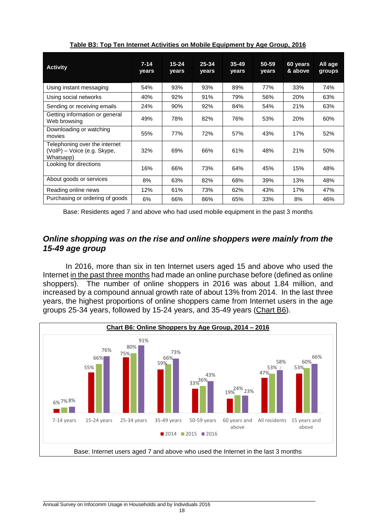| <b>Activity</b>                                                           | $7 - 14$<br>years | $15 - 24$<br>years | $25 - 34$<br>years | $35 - 49$<br>years | 50-59<br>years | 60 years<br>& above | All age<br>groups |
|---------------------------------------------------------------------------|-------------------|--------------------|--------------------|--------------------|----------------|---------------------|-------------------|
| Using instant messaging                                                   | 54%               | 93%                | 93%                | 89%                | 77%            | 33%                 | 74%               |
| Using social networks                                                     | 40%               | 92%                | 91%                | 79%                | 56%            | 20%                 | 63%               |
| Sending or receiving emails                                               | 24%               | 90%                | 92%                | 84%                | 54%            | 21%                 | 63%               |
| Getting information or general<br>Web browsing                            | 49%               | 78%                | 82%                | 76%                | 53%            | 20%                 | 60%               |
| Downloading or watching<br>movies                                         | 55%               | 77%                | 72%                | 57%                | 43%            | 17%                 | 52%               |
| Telephoning over the internet<br>(VoIP) – Voice (e.g. Skype,<br>Whatsapp) | 32%               | 69%                | 66%                | 61%                | 48%            | 21%                 | 50%               |
| Looking for directions                                                    | 16%               | 66%                | 73%                | 64%                | 45%            | 15%                 | 48%               |
| About goods or services                                                   | 8%                | 63%                | 82%                | 68%                | 39%            | 13%                 | 48%               |
| Reading online news                                                       | 12%               | 61%                | 73%                | 62%                | 43%            | 17%                 | 47%               |
| Purchasing or ordering of goods                                           | 6%                | 66%                | 86%                | 65%                | 33%            | 8%                  | 46%               |

<span id="page-18-0"></span>**Table B3: Top Ten Internet Activities on Mobile Equipment by Age Group, 2016**

Base: Residents aged 7 and above who had used mobile equipment in the past 3 months

## *Online shopping was on the rise and online shoppers were mainly from the 15-49 age group*

<span id="page-18-1"></span>In 2016, more than six in ten Internet users aged 15 and above who used the Internet in the past three months had made an online purchase before (defined as online shoppers). The number of online shoppers in 2016 was about 1.84 million, and increased by a compound annual growth rate of about 13% from 2014. In the last three years, the highest proportions of online shoppers came from Internet users in the age groups 25-34 years, followed by 15-24 years, and 35-49 years (Chart B6).

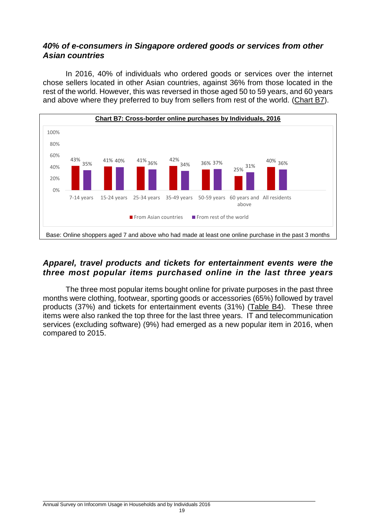## *40% of e-consumers in Singapore ordered goods or services from other Asian countries*

In 2016, 40% of individuals who ordered goods or services over the internet chose sellers located in other Asian countries, against 36% from those located in the rest of the world. However, this was reversed in those aged 50 to 59 years, and 60 years and above where they preferred to buy from sellers from rest of the world. (Chart B7).



# *Apparel, travel products and tickets for entertainment events were the three most popular items purchased online in the last three years*

The three most popular items bought online for private purposes in the past three months were clothing, footwear, sporting goods or accessories (65%) followed by travel products (37%) and tickets for entertainment events (31%) (Table B4). These three items were also ranked the top three for the last three years. IT and telecommunication services (excluding software) (9%) had emerged as a new popular item in 2016, when compared to 2015.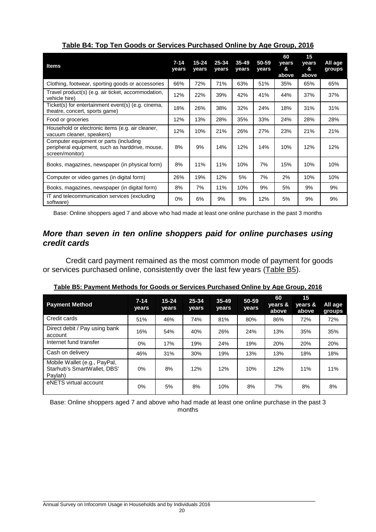| <b>Items</b>                                                                                                 | $7 - 14$<br>vears | $15 - 24$<br>vears | 25-34<br>years | $35 - 49$<br>years | 50-59<br>years | 60<br>vears<br>&<br>above | 15<br>vears<br>&<br>above | All age<br>groups |
|--------------------------------------------------------------------------------------------------------------|-------------------|--------------------|----------------|--------------------|----------------|---------------------------|---------------------------|-------------------|
| Clothing, footwear, sporting goods or accessories                                                            | 66%               | 72%                | 71%            | 63%                | 51%            | 35%                       | 65%                       | 65%               |
| Travel product(s) (e.g. air ticket, accommodation,<br>vehicle hire)                                          | 12%               | 22%                | 39%            | 42%                | 41%            | 44%                       | 37%                       | 37%               |
| Ticket(s) for entertainment event(s) (e.g. cinema,<br>theatre, concert, sports game)                         | 18%               | 26%                | 38%            | 32%                | 24%            | 18%                       | 31%                       | 31%               |
| Food or groceries                                                                                            | 12%               | 13%                | 28%            | 35%                | 33%            | 24%                       | 28%                       | 28%               |
| Household or electronic items (e.g. air cleaner,<br>vacuum cleaner, speakers)                                | 12%               | 10%                | 21%            | 26%                | 27%            | 23%                       | 21%                       | 21%               |
| Computer equipment or parts (including<br>peripheral equipment, such as harddrive, mouse,<br>screen/monitor) | 8%                | 9%                 | 14%            | 12%                | 14%            | 10%                       | 12%                       | 12%               |
| Books, magazines, newspaper (in physical form)                                                               | 8%                | 11%                | 11%            | 10%                | 7%             | 15%                       | 10%                       | 10%               |
| Computer or video games (in digital form)                                                                    | 26%               | 19%                | 12%            | 5%                 | 7%             | 2%                        | 10%                       | 10%               |
| Books, magazines, newspaper (in digital form)                                                                | 8%                | 7%                 | 11%            | 10%                | 9%             | 5%                        | 9%                        | 9%                |
| IT and telecommunication services (excluding<br>software)                                                    | 0%                | 6%                 | 9%             | 9%                 | 12%            | 5%                        | 9%                        | 9%                |

### <span id="page-20-0"></span>**Table B4: Top Ten Goods or Services Purchased Online by Age Group, 2016**

Base: Online shoppers aged 7 and above who had made at least one online purchase in the past 3 months

### *More than seven in ten online shoppers paid for online purchases using credit cards*

Credit card payment remained as the most common mode of payment for goods or services purchased online, consistently over the last few years (Table B5).

| <b>Payment Method</b>                                                  | $7 - 14$<br>years | $15 - 24$<br>years | 25-34<br>years | $35 - 49$<br>years | 50-59<br>years | 60<br>years &<br>above | 15<br>vears &<br>above | All age<br>groups |
|------------------------------------------------------------------------|-------------------|--------------------|----------------|--------------------|----------------|------------------------|------------------------|-------------------|
| Credit cards                                                           | 51%               | 46%                | 74%            | 81%                | 80%            | 86%                    | 72%                    | 72%               |
| Direct debit / Pay using bank<br>account                               | 16%               | 54%                | 40%            | 26%                | 24%            | 13%                    | 35%                    | 35%               |
| Internet fund transfer                                                 | 0%                | 17%                | 19%            | 24%                | 19%            | 20%                    | 20%                    | 20%               |
| Cash on delivery                                                       | 46%               | 31%                | 30%            | 19%                | 13%            | 13%                    | 18%                    | 18%               |
| Mobile Wallet (e.g., PayPal,<br>Starhub's SmartWallet, DBS'<br>Paylah) | $0\%$             | 8%                 | 12%            | 12%                | 10%            | 12%                    | 11%                    | 11%               |
| eNETS virtual account                                                  | 0%                | 5%                 | 8%             | 10%                | 8%             | 7%                     | 8%                     | 8%                |

<span id="page-20-1"></span>**Table B5: Payment Methods for Goods or Services Purchased Online by Age Group, 2016**

Base: Online shoppers aged 7 and above who had made at least one online purchase in the past 3 months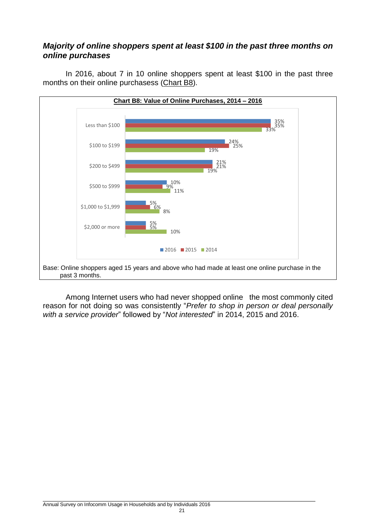## *Majority of online shoppers spent at least \$100 in the past three months on online purchases*

<span id="page-21-0"></span>In 2016, about 7 in 10 online shoppers spent at least \$100 in the past three months on their online purchasess (Chart B8).



Among Internet users who had never shopped online the most commonly cited reason for not doing so was consistently "*Prefer to shop in person or deal personally with a service provider*" followed by "*Not interested*" in 2014, 2015 and 2016.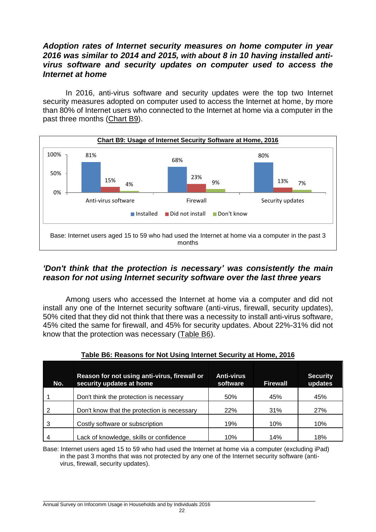### *Adoption rates of Internet security measures on home computer in year 2016 was similar to 2014 and 2015, with about 8 in 10 having installed antivirus software and security updates on computer used to access the Internet at home*

<span id="page-22-1"></span>In 2016, anti-virus software and security updates were the top two Internet security measures adopted on computer used to access the Internet at home, by more than 80% of Internet users who connected to the Internet at home via a computer in the past three months (Chart B9).



# *'Don't think that the protection is necessary' was consistently the main reason for not using Internet security software over the last three years*

Among users who accessed the Internet at home via a computer and did not install any one of the Internet security software (anti-virus, firewall, security updates), 50% cited that they did not think that there was a necessity to install anti-virus software, 45% cited the same for firewall, and 45% for security updates. About 22%-31% did not know that the protection was necessary (Table B6).

| No. | Reason for not using anti-virus, firewall or<br>security updates at home | <b>Anti-virus</b><br>software | <b>Firewall</b> | <b>Security</b><br>updates |
|-----|--------------------------------------------------------------------------|-------------------------------|-----------------|----------------------------|
|     | Don't think the protection is necessary                                  | 50%                           | 45%             | 45%                        |
|     | Don't know that the protection is necessary                              | 22%                           | 31%             | 27%                        |
| 3   | Costly software or subscription                                          | 19%                           | 10%             | 10%                        |
|     | Lack of knowledge, skills or confidence                                  | 10%                           | 14%             | 18%                        |

### <span id="page-22-0"></span>**Table B6: Reasons for Not Using Internet Security at Home, 2016**

Base: Internet users aged 15 to 59 who had used the Internet at home via a computer (excluding iPad) in the past 3 months that was not protected by any one of the Internet security software (antivirus, firewall, security updates).